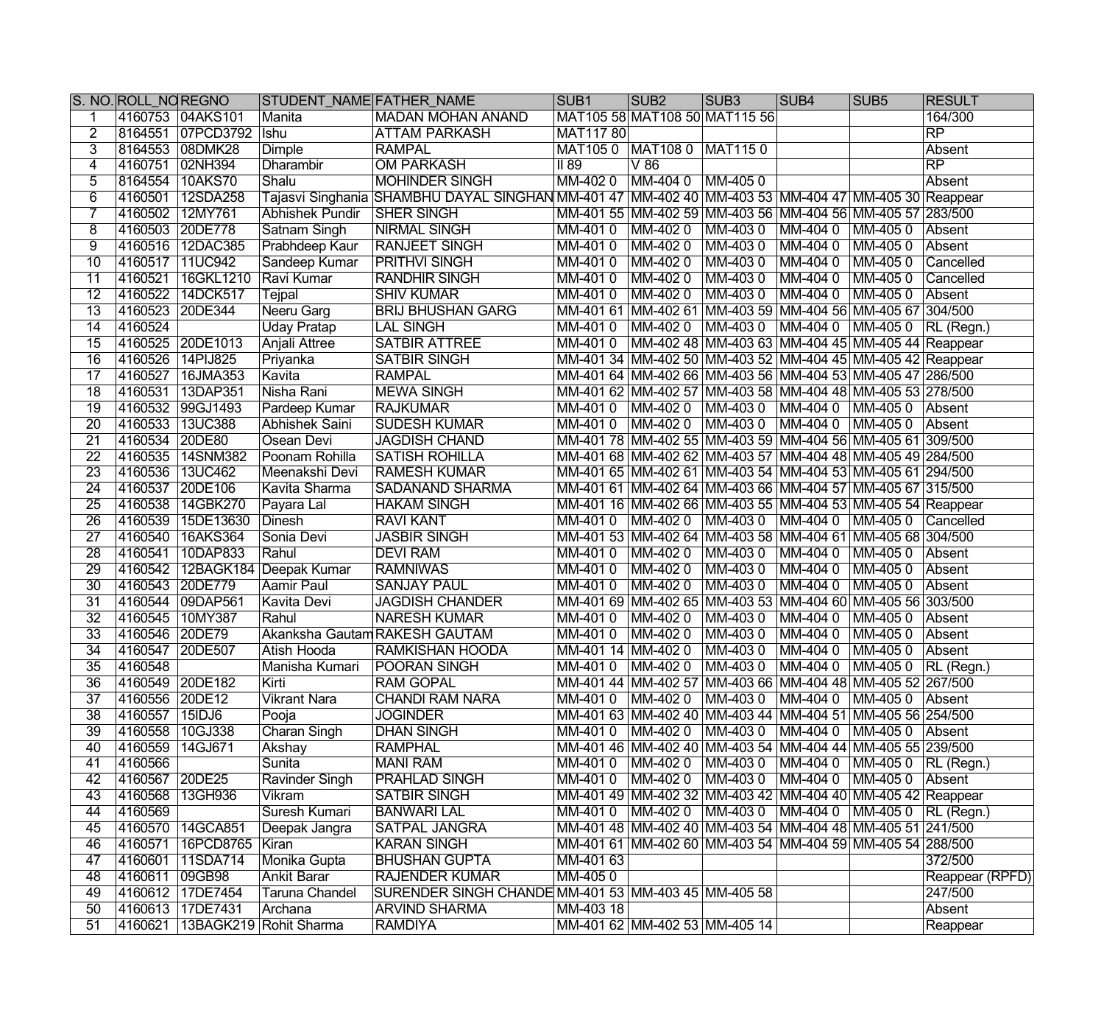|                 | S. NO. ROLL NOREGNO |                      | STUDENT_NAME FATHER_NAME |                                                                                                    | SUB <sub>1</sub>                      | SUB <sub>2</sub>     | SUB <sub>3</sub>                                                 | SUB <sub>4</sub>                    | SUB <sub>5</sub>   | <b>RESULT</b>   |
|-----------------|---------------------|----------------------|--------------------------|----------------------------------------------------------------------------------------------------|---------------------------------------|----------------------|------------------------------------------------------------------|-------------------------------------|--------------------|-----------------|
|                 |                     | 4160753 04AKS101     | Manita                   | <b>MADAN MOHAN ANAND</b>                                                                           |                                       |                      | MAT105 58 MAT108 50 MAT115 56                                    |                                     |                    | 164/300         |
| $\overline{2}$  |                     | 8164551 07PCD3792    | <b>Ishu</b>              | <b>ATTAM PARKASH</b>                                                                               | MAT117 80                             |                      |                                                                  |                                     |                    | $\overline{RP}$ |
| 3               | 8164553 08DMK28     |                      | Dimple                   | <b>RAMPAL</b>                                                                                      | MAT105 0 MAT108 0 MAT115 0            |                      |                                                                  |                                     |                    | Absent          |
| 4               | 4160751 02NH394     |                      | <b>Dharambir</b>         | <b>OM PARKASH</b>                                                                                  | $\overline{\overline{\mathsf{II}89}}$ | $\overline{\vee 86}$ |                                                                  |                                     |                    | $\overline{RP}$ |
| 5               | 8164554 10AKS70     |                      | Shalu                    | <b>MOHINDER SINGH</b>                                                                              | MM-4020                               | MM-404 0             | $MM-4050$                                                        |                                     |                    | Absent          |
| $\overline{6}$  | 4160501             | 12SDA258             |                          | Tajasvi Singhania SHAMBHU DAYAL SINGHAN MM-401 47 MM-402 40 MM-403 53 MM-404 47 MM-405 30 Reappear |                                       |                      |                                                                  |                                     |                    |                 |
|                 | 4160502             | 12MY761              | Abhishek Pundir          | <b>SHER SINGH</b>                                                                                  |                                       |                      | MM-401 55 MM-402 59 MM-403 56 MM-404 56 MM-405 57 283/500        |                                     |                    |                 |
| $\overline{8}$  | 4160503             | 20DE778              | <b>Satnam Singh</b>      | <b>NIRMAL SINGH</b>                                                                                | MM-4010                               | MM-402 0 MM-403 0    |                                                                  | $MM-4040$                           | $MM-4050$ Absent   |                 |
| $\overline{9}$  | 4160516             | <b>12DAC385</b>      | Prabhdeep Kaur           | <b>RANJEET SINGH</b>                                                                               | MM-4010                               | MM-402 0  MM-403 0   |                                                                  | MM-404 0                            | $MM-4050$ Absent   |                 |
| 10              | 4160517             | 11UC942              | Sandeep Kumar            | <b>PRITHVI SINGH</b>                                                                               | MM-4010                               | MM-402 0  MM-403 0   |                                                                  | MM-404 0 MM-405 0 Cancelled         |                    |                 |
| $\overline{11}$ | 4160521             | 16GKL1210 Ravi Kumar |                          | <b>RANDHIR SINGH</b>                                                                               | MM-4010                               | MM-402 0 MM-403 0    |                                                                  | MM-404 0 MM-405 0 Cancelled         |                    |                 |
| $\overline{12}$ | 4160522             | 14DCK517             | <b>Tejpal</b>            | <b>SHIV KUMAR</b>                                                                                  | MM-401 0 MM-402 0 MM-403 0            |                      |                                                                  | MM-404 0 MM-405 0 Absent            |                    |                 |
| $\overline{13}$ | 4160523 20DE344     |                      | Neeru Garg               | <b>BRIJ BHUSHAN GARG</b>                                                                           |                                       |                      | MM-401 61 MM-402 61 MM-403 59 MM-404 56 MM-405 67 304/500        |                                     |                    |                 |
| $\overline{14}$ | 4160524             |                      | <b>Uday Pratap</b>       | <b>LAL SINGH</b>                                                                                   |                                       |                      | MM-401 0 MM-402 0 MM-403 0 MM-404 0 MM-405 0 RL (Regn.)          |                                     |                    |                 |
| $\overline{15}$ |                     | 4160525 20DE1013     | Anjali Attree            | <b>SATBIR ATTREE</b>                                                                               | MM-4010                               |                      | MM-402 48 MM-403 63 MM-404 45 MM-405 44 Reappear                 |                                     |                    |                 |
| 16              | 4160526             | $14$ PIJ825          | Priyanka                 | <b>SATBIR SINGH</b>                                                                                |                                       |                      | MM-401 34 MM-402 50 MM-403 52 MM-404 45 MM-405 42 Reappear       |                                     |                    |                 |
| 17              | 4160527             | 16JMA353             | Kavita                   | <b>RAMPAL</b>                                                                                      |                                       |                      | MM-401 64 MM-402 66 MM-403 56 MM-404 53 MM-405 47 286/500        |                                     |                    |                 |
| 18              | 4160531             | 13DAP351             | Nisha Rani               | <b>MEWA SINGH</b>                                                                                  |                                       |                      | MM-401 62 MM-402 57 MM-403 58 MM-404 48 MM-405 53 278/500        |                                     |                    |                 |
| $\overline{19}$ |                     | 4160532 99GJ1493     | Pardeep Kumar            | <b>RAJKUMAR</b>                                                                                    | MM-4010                               | MM-402 0 MM-403 0    |                                                                  | MM-404 0 MM-405 0 Absent            |                    |                 |
| $\overline{20}$ | 4160533             | 13UC388              | <b>Abhishek Saini</b>    | <b>SUDESH KUMAR</b>                                                                                | MM-4010                               | MM-402 0 MM-403 0    |                                                                  | MM-404 0 MM-405 0 Absent            |                    |                 |
| $\overline{21}$ | 4160534             | 20DE80               | Osean Devi               | <b>JAGDISH CHAND</b>                                                                               |                                       |                      | MM-401 78 MM-402 55 MM-403 59 MM-404 56 MM-405 61 309/500        |                                     |                    |                 |
| $\overline{22}$ | 4160535             | 14SNM382             | Poonam Rohilla           | <b>SATISH ROHILLA</b>                                                                              |                                       |                      | MM-401 68 MM-402 62 MM-403 57 MM-404 48 MM-405 49 284/500        |                                     |                    |                 |
| $\overline{23}$ | 4160536             |                      |                          | <b>RAMESH KUMAR</b>                                                                                |                                       |                      | MM-401 65 MM-402 61 MM-403 54 MM-404 53 MM-405 61 294/500        |                                     |                    |                 |
|                 |                     | 13UC462              | Meenakshi Devi           |                                                                                                    |                                       |                      |                                                                  |                                     |                    |                 |
| $\overline{24}$ | 4160537             | 20DE106              | Kavita Sharma            | SADANAND SHARMA                                                                                    |                                       |                      | MM-401 61 MM-402 64 MM-403 66 MM-404 57 MM-405 67 315/500        |                                     |                    |                 |
| $\overline{25}$ | 4160538             | 14GBK270             | Payara Lal               | <b>HAKAM SINGH</b>                                                                                 |                                       |                      | MM-401 16 MM-402 66 MM-403 55 MM-404 53 MM-405 54 Reappear       |                                     |                    |                 |
| $\overline{26}$ | 4160539             | 15DE13630            | Dinesh                   | <b>RAVI KANT</b>                                                                                   |                                       |                      | MM-401 0   MM-402 0   MM-403 0   MM-404 0   MM-405 0   Cancelled |                                     |                    |                 |
| $\overline{27}$ | 4160540             | 16AKS364             | Sonia Devi               | <b>JASBIR SINGH</b>                                                                                |                                       |                      | MM-401 53 MM-402 64 MM-403 58 MM-404 61 MM-405 68 304/500        |                                     |                    |                 |
| $\overline{28}$ | 4160541             | 10DAP833             | Rahul                    | <b>DEVI RAM</b>                                                                                    | MM-401 0   MM-402 0   MM-403 0        |                      |                                                                  | MM-404 0  MM-405 0  Absent          |                    |                 |
| $\overline{29}$ | 4160542             |                      | 12BAGK184 Deepak Kumar   | <b>RAMNIWAS</b>                                                                                    | MM-401 0                              | MM-402 0 MM-403 0    |                                                                  | MM-404 0                            | MM-405 0           | Absent          |
| $\overline{30}$ | 4160543             | 20DE779              | Aamir Paul               | <b>SANJAY PAUL</b>                                                                                 | MM-4010                               | MM-4020              | $MM-4030$                                                        | MM-404 0 MM-405 0 Absent            |                    |                 |
| $\overline{31}$ |                     | 4160544 09DAP561     | Kavita Devi              | <b>JAGDISH CHANDER</b>                                                                             |                                       |                      | MM-401 69 MM-402 65 MM-403 53 MM-404 60 MM-405 56 303/500        |                                     |                    |                 |
| $\overline{32}$ | 4160545             | 10MY387              | Rahul                    | <b>NARESH KUMAR</b>                                                                                | MM-4010                               | MM-4020              | $MM-4030$                                                        | MM-404 0                            | MM-4050            | Absent          |
| 33              | 4160546 20DE79      |                      |                          | Akanksha Gautam RAKESH GAUTAM                                                                      | MM-4010                               | MM-4020              | MM-4030                                                          | MM-404 0                            | MM-405 0 Absent    |                 |
| $\overline{34}$ | 4160547 20DE507     |                      | <b>Atish Hooda</b>       | <b>RAMKISHAN HOODA</b>                                                                             | MM-401 14 MM-402 0                    |                      | $MM-4030$                                                        | MM-404 0                            | MM-405 0 Absent    |                 |
| $\overline{35}$ | 4160548             |                      | Manisha Kumari           | <b>POORAN SINGH</b>                                                                                | MM-401 0 MM-402 0 MM-403 0            |                      |                                                                  | MM-404 0 MM-405 0 RL (Regn.)        |                    |                 |
|                 |                     | 36 4160549 20DE182   | Kirti                    | <b>RAM GOPAL</b>                                                                                   |                                       |                      | MM-401 44 MM-402 57 MM-403 66 MM-404 48 MM-405 52 267/500        |                                     |                    |                 |
| 37              | 4160556 20DE12      |                      | <b>Vikrant Nara</b>      | <b>CHANDI RAM NARA</b>                                                                             | MM-401 0                              |                      | MM-402 0  MM-403 0  MM-404 0  MM-405 0  Absent                   |                                     |                    |                 |
| $\overline{38}$ | 4160557             | 15IDJ6               | Pooja                    | <b>JOGINDER</b>                                                                                    |                                       |                      | MM-401 63 MM-402 40 MM-403 44 MM-404 51 MM-405 56 254/500        |                                     |                    |                 |
| 39              | 4160558             | 10GJ338              | <b>Charan Singh</b>      | <b>DHAN SINGH</b>                                                                                  | MM-4010                               | MM-4020              | MM-403 0                                                         | MM-404 0                            | $ MM-4050 $ Absent |                 |
| 40              | 4160559             | 14GJ671              | Akshay                   | <b>RAMPHAL</b>                                                                                     |                                       |                      | MM-401 46 MM-402 40 MM-403 54 MM-404 44 MM-405 55 239/500        |                                     |                    |                 |
| 41              | 4160566             |                      | Sunita                   | <b>MANI RAM</b>                                                                                    | MM-401 0                              | MM-402 0             | MM-4030                                                          | $ MM-404 0   MM-405 0   RL (Regn.)$ |                    |                 |
| 42              | 4160567             | 20DE25               | Ravinder Singh           | <b>PRAHLAD SINGH</b>                                                                               | MM-4010                               | MM-402 0             | $MM-4030$                                                        | MM-404 0   MM-405 0   Absent        |                    |                 |
| 43              | 4160568             | 13GH936              | Vikram                   | <b>SATBIR SINGH</b>                                                                                |                                       |                      | MM-401 49 MM-402 32 MM-403 42 MM-404 40 MM-405 42 Reappear       |                                     |                    |                 |
| 44              | 4160569             |                      | Suresh Kumari            | <b>BANWARI LAL</b>                                                                                 | MM-4010                               | MM-402 0 MM-403 0    |                                                                  | MM-404 0 MM-405 0 RL (Regn.)        |                    |                 |
| 45              | 4160570             | 14GCA851             | Deepak Jangra            | <b>SATPAL JANGRA</b>                                                                               |                                       |                      | MM-401 48 MM-402 40 MM-403 54 MM-404 48 MM-405 51 241/500        |                                     |                    |                 |
| 46              | 4160571             | 16PCD8765 Kiran      |                          | <b>KARAN SINGH</b>                                                                                 |                                       |                      | MM-401 61 MM-402 60 MM-403 54 MM-404 59 MM-405 54 288/500        |                                     |                    |                 |
| 47              | 4160601             | 11SDA714             | Monika Gupta             | <b>BHUSHAN GUPTA</b>                                                                               | MM-401 63                             |                      |                                                                  |                                     |                    | 372/500         |
| 48              | 4160611             | 09GB98               | <b>Ankit Barar</b>       | <b>RAJENDER KUMAR</b>                                                                              | MM-4050                               |                      |                                                                  |                                     |                    | Reappear (RPFD) |
| 49              |                     | 4160612 17DE7454     | Taruna Chandel           | SURENDER SINGH CHANDE MM-401 53 MM-403 45 MM-405 58                                                |                                       |                      |                                                                  |                                     |                    | 247/500         |
| 50              |                     | 4160613 17DE7431     | Archana                  | <b>ARVIND SHARMA</b>                                                                               | MM-403 18                             |                      |                                                                  |                                     |                    | Absent          |
| 51              | 4160621             |                      | 13BAGK219 Rohit Sharma   | <b>RAMDIYA</b>                                                                                     | MM-401 62 MM-402 53 MM-405 14         |                      |                                                                  |                                     |                    | Reappear        |
|                 |                     |                      |                          |                                                                                                    |                                       |                      |                                                                  |                                     |                    |                 |